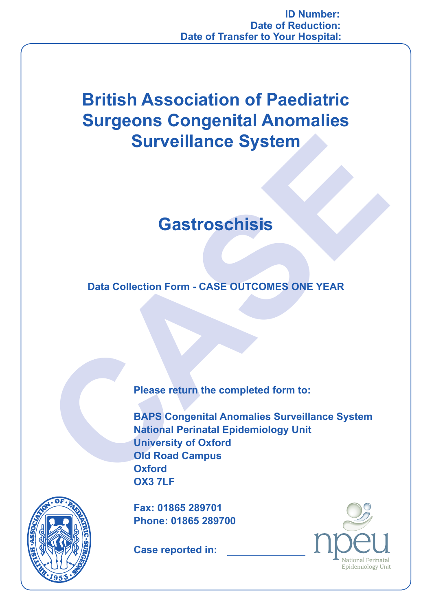**ID Number: Date of Reduction: Date of Transfer to Your Hospital:**

## **British Association of Paediatric Surgeons Congenital Anomalies Surveillance System**

## **Gastroschisis**

**Data Collection Form - CASE OUTCOMES ONE YEAR**

**CASTROSCHISIS<br>
Data Collection Form - CASE OUTCOMES ONE YEAR**<br>
Data Collection Form - CASE OUTCOMES ONE YEAR<br>
Please return the completed form to:<br>
BAPS Congenital Anomalies Surveillance System<br>
Mational Perinatal Epidemi **BAPS Congenital Anomalies Surveillance System National Perinatal Epidemiology Unit University of Oxford Old Road Campus Oxford OX3 7LF**



**Fax: 01865 289701 Phone: 01865 289700**

**Case reported in:**